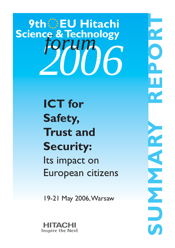# *2006 forum* **9th EU Hitachi Science & Technology**

**ICT for Safety, Trust and Security:** Its impact on European citizens

19-21 May 2006,Warsaw



**ROUNDED** O<br>N<br>N **RICH P** EN EN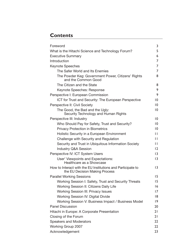## **Contents**

| Foreword                                                                                      | 3               |  |
|-----------------------------------------------------------------------------------------------|-----------------|--|
| What is the Hitachi Science and Technology Forum?                                             | 5               |  |
| <b>Executive Summary</b>                                                                      | 6               |  |
| Introduction                                                                                  | 7               |  |
| <b>Keynote Speeches</b>                                                                       | 7               |  |
| The Safer World and Its Enemies                                                               | 7               |  |
| The Powder Keg: Government Power, Citizens' Rights<br>and the Common Good                     | 8               |  |
| The Citizen and the State                                                                     | 8               |  |
| Keynote Speeches: Response                                                                    | 9               |  |
| Perspective I: European Commission                                                            | 9               |  |
| ICT for Trust and Security: The European Perspective                                          | $\overline{10}$ |  |
| Perspective II: Civil Society                                                                 | 10              |  |
| The Good, the Bad and the Ugly:<br>Security Technology and Human Rights                       | 10              |  |
| Perspective III: Industry                                                                     | $\overline{10}$ |  |
| Who Should Pay for Safety, Trust and Security?                                                | $\overline{0}$  |  |
| <b>Privacy Protection in Biometrics</b>                                                       | $\overline{10}$ |  |
| Holistic Security in a European Environment                                                   | $\mathbf{L}$    |  |
| Challenge with Security and Regulation                                                        | $\mathsf{L}$    |  |
| Security and Trust in Ubiquitous Information Society                                          | П               |  |
| <b>Industry Q&amp;A Session</b>                                                               | 2               |  |
| Perspective IV: ICT System Users                                                              | 3               |  |
| User' Viewpoints and Expectations:<br>Healthcare as a Showcase                                | 3               |  |
| How to Interact with the EU Institutions and Participate to<br>the EU Decision Making Process | 3               |  |
| <b>Parallel Working Sessions</b>                                                              | 15              |  |
| Working Session I: Safety, Trust and Security Threats                                         | 15              |  |
| Working Session II: Citizens Daily Life                                                       | 16              |  |
| <b>Working Session III: Privacy Issues</b>                                                    | 17              |  |
| <b>Working Session IV: Digital Divide</b>                                                     | 8               |  |
| Working Session V: Business Impact / Business Model                                           | $ 9\rangle$     |  |
| <b>Panel Discussion</b>                                                                       | 20              |  |
| Hitachi in Europe: A Corporate Presentation                                                   | 21              |  |
| Closing of the Forum                                                                          | 21              |  |
| <b>Speakers and Moderators</b>                                                                |                 |  |
| <b>Working Group 2007</b>                                                                     |                 |  |
| Acknowledgement                                                                               | 23              |  |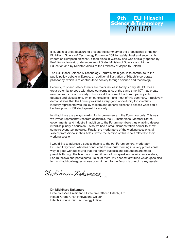



It is, again, a great pleasure to present the summary of the proceedings of the 9th EU Hitachi Science & Technology Forum on "ICT for safety, trust and security: its impact on European citizens". It took place in Warsaw and was officially opened by Prof. Kurzydlowski, Undersecretary of State, Ministry of Science and Higher Education and by Minister Mizuki of the Embassy of Japan to Poland.

The EU Hitachi Science & Technology Forum's main goal is to contribute to the public policy debate in Europe, an additional illustration of Hitachi's corporate philosophy, which is to contribute to society through science and technology.

Security, trust and safety threats are major issues in today's daily life. ICT has a great potential to cope with these concerns and, at the same time, ICT may create new problems for our society. This was at the core of the Forum participants' debates and discussions, which conclusions make most of this summary. It positively demonstrates that the Forum provided a very good opportunity for scientists, industry representatives, policy makers and general citizens to assess what could be the optimum ICT deployment for society.

In Hitachi, we are always looking for improvements in the Forum outputs. This year we invited representatives from academia, the EU Institutions, Member States governments, and industry in addition to the Forum members thus enabling deeper interdisciplinary discussion. Also we had a small demonstration corner to show some relevant technologies. Finally, the moderators of the working sessions, all skilled professional in their fields, wrote the section of this report related to their working session.

I would like to address a special thanks to the 9th Forum general moderator, Dr. Jean Freymond, who has conducted this annual meeting in a very professional way. It goes without saying that the Forum success and reputation are made possible through the talent and commitment of our speakers, session moderators, Forum fellows and participants. To all of them, my deepest gratitude which goes also to my Hitachi colleagues whose commitment to the Forum is one of its key assets.

Michiham Nakamura

**Dr. Michiharu Nakamura** Executive Vice President & Executive Officer, Hitachi, Ltd. Hitachi Group Chief Innovations Officer Hitachi Group Chief Technology Officer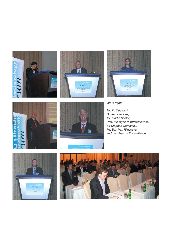









*left to right:*

*Mr. Ko Takahashi, Dr. Jacques Bus, Mr. Martin Sadler, Prof. Mieczyslaw Muraszkiewicz, Sir Stephen Gomersall, Mr. Bart Van Rijnsoever and members of the audience*



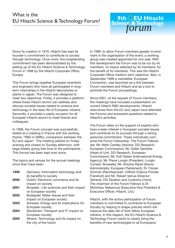### What is the EU Hitachi Science & Technology Forum?

*forum* **9th EU Hitachi Science & Technology**

Since its creation in 1910, Hitachi has kept its founder's commitment to contribute to society through technology. Once more, this longstanding commitment has been demonstrated by the setting up of the EU Hitachi Science & Technology Forum in 1998 by the Hitachi Corporate Office, Europe.

This Forum brings together European scientists and engineers who have all participated in longterm internships in the Hitachi laboratories or plants in Japan. The Forum was designed to meet two objectives. Firstly, it provides a platform where these Hitachi alumni can address and discuss societal issues related to science and technology in the daily life of European citizens. Secondly, it provides a yearly occasion for all European Hitachi alumni to meet friends and colleagues.

In 1998, the Forum concept was successfully tested at a meeting in France with the working theme: "R&D in SMEs, comparison between the EU and Japan". The meeting started on Friday evening and closed on Sunday afternoon, with large breaks giving free time to the participants. This format has been kept ever since.

The topics and venues for the annual meetings since then have been:

| 1999 | Germany: Information technology and      |
|------|------------------------------------------|
|      | its benefits to society                  |
| 2000 | Dublin: Electronic commerce and its      |
|      | impact on society                        |
| 2001 | Brussels: Life sciences and their impact |
|      | on European society                      |
| 2002 | Budapest: Water Issues and their         |
|      | impact on European society               |
| 2003 | Antwerp: Energy and its implications for |
|      | European society                         |
| 2004 | Stockholm: Transport and IT: impact on   |
|      | European society                         |
| 2005 | Athens: Technology and its impact on     |
|      | the city of the future                   |

In 1999, to allow Forum members greater involvement in the organisation of the event, a working group was created appointed for one year. With this development the Forum was to be run by its members, on topics selected by its members, for the benefit of its members. This was the Hitachi Corporate Office medium-term objective. Also, in September 1999 a newsletter, European Connextion, was launched as a link between Forum members and Hitachi and as a tool to promote the Forum proceedings.

Since 2001, at the request of Forum members, the meetings have included a presentation on current Hitachi R&D developments. Hitachi executives from the EU and Japan have attended the Forums and answered questions related to Hitachi's activities.

The Forum relies on the support of experts who have a keen interest in European societal issues and contribute to its success through a strong personal commitment. These individuals comprise the Forum Fellowship. The Forum Fellows are: Mr. Mark Cantley (Advisor, DG Research, European Commission), Mr. Didier Gambier (Head of Unit, DG Research, European Commission), Mr. Dolf Gielen (International Energy Agency), Mr. Pierre Longin (President, Longin Conseil, Brussels), Mr. Antoine Ripoll (Senior Administrator, European Parliament), Dr. Florian Schmitz (Rechtsanwalt, Clifford Chance Pünder, Frankfurt) and Mr. Robert Verrue (Director General, DG Taxation and Customs Union). The chairman of the Forum Fellows is Dr. Michiharu Nakamura (Executive Vice President & Executive Officer, Hitachi, Ltd.)

Hitachi, with the active participation of Forum members is committed to contribute to European Society by helping to shape policies which will improve the daily life of their fellow European citizens. In this respect, the EU Hitachi Science & Technology Forum wants to clearly bring the benefits of new technologies to all Europeans.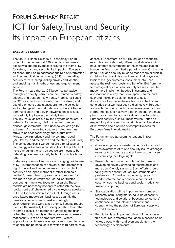# FORUM SUMMARY REPORT:

# ICT for Safety, Trust and Security: Its impact on European citizens

#### **EXECUTIVE SUMMARY**

The 9th EU Hitachi Science & Technology Forum brought together around 130 scientists, engineers, executives and policy-makers around the theme "ICT for safety, trust and security: its impact on European citizens". The Forum addressed the role of information and communication technology (ICT) in combating security threats, safeguarding privacy and identity, and enabling trust in e-business and e-government services.

The Forum heard that as ICT becomes pervasive throughout society, citizens are confronted by safety, security and trust on many fronts. From surveillance by CCTV cameras as we walk down the street, and use of biometric data in passports, to the collection and exchange of medical data, and vulnerabilities in communication and power networks, these issues increasingly impinge into our daily lives.

The key issue, as set out by the keynote speakers, is balance. Technology, if left unchecked, can be abused; governments, if left unchecked, can go to extremes. As the invited speakers noted, we must strive to balance technology and culture (Prof. Muraszkiewicz); privacy and the common good (Mr. Davies); and the citizen and the state (Lord Erroll). The consequences if we do not are dire. Misuse of technology will create a backlash from the public and risks damaging the very values we are meant to be defending. We need security technology with a human face.

Fortunately, views of security are changing. Wider use of ICT, interconnection of networks, and greater sharing of content and resources mean we must think of security as an 'open metropolis' rather than as a 'walled fortress'. New approaches and models for this more open environment - so-called 'trusted computing' - are a key focus for research. These models are necessary not only to establish the new 'social contract' championed by the keynote speakers, but also for economic reasons. Only through assurance-based models can businesses quantify the benefits of security and invest accordingly. User requirements were a key theme. Security requirements differ markedly from one application to another: in some cases it is a matter of authorising the user rather than fully identifying them, so we must ensure that security is at an appropriate level. Where applications or datasets overlap, users should be able to control the personal data to which third parties have access. Furthermore, as Mr. Bousquet's healthcare example clearly showed, different stakeholders will have different requirements of the same application. Hence the Forum identified a paradox here. On the one hand, trust and security must be made more explicit in social and economic transactions, so that players – businesses, governments, consumers, etc - can assess the real risks, costs and benefits. But from the technological point of view security features must be made more implicit, embedded in systems and applications in a way that is transparent to the end user and makes the solution easier to use. As we strive to achieve these objectives, the Forum concluded that we must seek a distinctively European approach. Europe is much more heterogeneous than North America and has very different needs. We must play to our strengths and our values so as to build a European security culture. These values – such as respect for privacy and human rights – can be drivers of innovation and a source of competitiveness for European firms in world markets.

The Forum arrived at recommendations in four key areas:

- Greater emphasis is needed on education so as to raise awareness of trust & security issues amongst users, and to stimulate and actively support users in exercising their legal rights.
- Research has a major contribution to make in developing privacy-enhancing technologies and more user-friendly systems. Such efforts should take greater account of user requirements and preferences. As well as technology, research is needed into the socio-economic context of security, such as business and social models for trusted computing.
- Standardisation will be important in a number of respects: stimulating market take-up of security technologies and solutions; boosting consumers' confidence in products and services; and strengthening the position of European suppliers in world markets.
- Regulation is an important driver of innovation in this area. More effective regulation is needed so as to keep pace with – and even anticipate – the technology developments.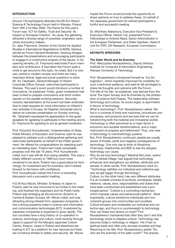#### **INTRODUCTION**

Around 130 participants attended the 9th EU Hitachi Science & Technology Forum held in Warsaw, Poland from 19th-21st May 2006. The theme for this year's Forum was "ICT for Safety, Trust and Security: Its Impact on European Citizens". As usual, the gathering attracted a diverse range of scientists, engineers, executives and policy-makers.

Dr. Jean Freymond, Director of the Centre for Applied Studies in International Negotiations (CASIN), Geneva, served as Forum General Moderator, drawing linkages between the presentations and encouraging participants to engage in a constructive analysis of the issues. In his opening remarks, Dr. Freymond welcomed Forum members and contributors. It had taken the Forum quite a while to get around to this topic, he noted. But it is now very central in modern society and there are many important ethical, legal and social questions to solve. Mr. Ko Takahashi, General Manager of Hitachi Corporate Office, Europe, welcomed participants to Warsaw. This year's event would introduce a number of innovations, he explained. Firstly, guest moderators had been invited to prepare conclusions and short written reports on the parallel working sessions. Secondly, industry representation at the event had been extended. And to meet requests for more information on Hitachi's own activities in Europe, Sir Stephen Gomersall was to deliver an overview presentation on Sunday morning. Mr. Takahashi expressed his appreciation to the guest speakers for agreeing to participate in the meeting and to Dr. Freymond for agreeing to act as general moderator.

Prof. Krzysztof Kurzydlowski, Undersecretary of State, Polish Ministry of Education and Science, said he was pleased to address such a distinguished gathering and welcomed participants on behalf of the Polish government. He offered his congratulations for selecting such an interesting topic. Poland had made remarkable progress over the last 16 years, Prof. Kurzydlowski noted, but it was still far from being satisfied. This was a totally different country to 1989 but much more remained to be done. Poland was a good place for technology, for investment and for business, and it looked forward to the future with confidence. Prof. Kurzydlowski wished the Forum a rewarding discussion and a successful meeting.

H.E.M Ikuo Mizuki, Minister, Embassy of Japan to Poland, said he was honoured to be invited to the meeting, and thanked the organisers and his Polish hosts. Poland was emerging as the economic dynamo of Central & Eastern Europe, Mr. Mizuki noted, and was attracting strong interest from Japanese companies. It has a strong academic base in science and information and communication technologies (ICT). Investment by Japanese companies is expected to grow rapidly. The two countries have a long history of co-operation in science, technology and culture, most recently through Japan's support for the Mangha Japanese Culture Centre, Krakow. Users in Poland and elsewhere are looking to ICT as a platform for new services but there are numerous threats to safety and security. Mr. Mizuki

hoped the Forum would provide the opportunity to share opinions on how to address these. On behalf of the Japanese government he wished participants a fruitful and successful meeting.

Dr. Michiharu Nakamura, Executive Vice President & Executive Officer, Hitachi Ltd, presented Forum Fellowships to Antoine Ripoll, Senior Administrator in the European Parliament, and Didier Gambier, Head of Unit for ITER, DG Research, European Commission.

#### **KEYNOTE SPEECHES**

#### **The Safer World and Its Enemies**

Prof. Mieczyslaw Muraszkiewicz, Deputy Director, Institute for Computer & Information Engineering, Warsaw University of Technology

Prof. Muraszkiewicz introduced himself as "I*ch bin Ingenieur*", which hopefully improved his credibility for such a technical audience, and said he felt privileged to share his thoughts and opinions with the Forum. The title of his talk, he explained, was derived from the book The Open Society and its Enemies by the philosopher of science Karl Popper. The relationship between technology and culture, he would argue, is asymmetric in favour of technology.

What is technology?, Prof. Muraszkiewicz asked. We live in a universe of tools and machines, procedures and processes, and products and services that we use for transforming both the material and immaterial worlds. Technology is often perceived as a major factor in economic and societal transformations, and a major instrument of progress and betterment. Thus, one view of technology is overwhelmingly positive.

But, Prof. Muraszkiewicz continued, people are usually aware of threats, perils and negative consequences of technology. One only has to think of Hiroshima, Chernobyl, thalidomide and BSE to see the dangers technology can cause.

Why do we love technology? Marshal McLuhan, author of The Global Village, had argued that technology enhances and strengthens our abilities, attributes and senses. In other words, Prof. Muraszkiewicz went on, "Technology satisfies our individual and collective ego and we get bigger through technology".

Culture, on the other hand, has very different attributes. It is an invisible universe of symbols, archetypes, beliefs, relations, values, laws, responsibilities and duties that have been constructed and established over a prolonged period. "Culture is a controlling mechanism which imposes values and behavioural patterns". Most importantly, culture transforms individuals and noncoherent groups into communities and societies. Culture tempers and moderates our individual and collective ego, and thus is a counterweight to technology. How can these two factors co-exist? Prof. Muraszkiewicz maintained that often they don't and that technology tends to displace culture. Technology has become today's mythology or religion. Yet it has no spiritual basis and often only arouses anxieties and fear. Returning to his title, Prof. Muraszkiewicz asked "So, who are the enemies of the safer world?" The answer,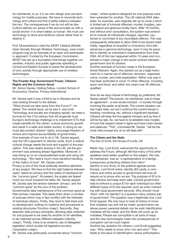he maintained, is us. It is we who design and use technology for hostile purposes. We have to reconcile technology and culture and find a better balance between the two. The consequences if we do not will be dire. Culture defines our sense of life and provides us with a social anchor: it is what makes us human. We must use technology to drive and reinforce culture rather than to destroy it.

Prof. Muraszkiewicz cited the MOST initiative (Mobile Open Society through Wireless Technology, www.mostprogram.org) as an example of an open and participatory approach. Funded by the European Commission, MOST has set up a foundation that brings together universities, industry and public agencies operating in Central and Eastern Europe to boost the development of civic society through appropriate use of wireless technologies.

#### **The Powder Keg: Government Power, Citizens' Rights and the Common Good**

Mr. Simon Davies, Visiting Fellow, London School of Economics; Director, Privacy International

Mr. Davies said it was a thrill to be in Warsaw and he was looking forward to the debate.

"What should we take away from this Forum?", he asked. The central issue, as he saw it, was trust. Technology and society are changing rapidly: we need a formula for the 21st century that will engender trust. Europe's technology challenge is to implement ICTs that create benefits for the citizen, nurture economic growth and result in a safer and better society. In doing so we must also protect citizens' rights, encourage freedom of choice and improve accountability of government. One example of how not to do it, Mr. Davies argued, was the UK's approach to identity cards. Such a radical cultural change needs the trust and support of the population. This was clearly lacking in the UK, yet the government was pressing ahead regardless. Moreover, it was doing so on an unprecedented scale and using old technology. "We need a much more sensitive handling of the matrix of trust", Mr. Davies noted.

Privacy is one of the most politically sensitive elements of any project. We have to find the right balance between users' desire for privacy and the needs of disclosure for the "common good". At present, the scales are tipped much too much towards the latter, Mr. Davies argued. Mr. Davies saw the tension between 'privacy' and the 'common good' as the crux of the problem. Governments take maintenance of the common good as their primary mandate. This leads them down a number of avenues which may in fact conflict with the interests of individual citizens. Firstly, they tend to fast-track policy development, bolting-on systems and procedures to existing structures ('function creep'). Secondly, they abandon data privacy principles, allowing data collected for one purpose to be used for another or for identities to be matched across different datasets ('identity creep'). Thirdly, there is an endemic use of delegated legislation which avoids full legislative scrutiny ('exemption creep').

Mr. Davies was particularly concerned about "function

creep", where systems designed for one purpose were then extended for another. The UK national DNA database, for example, was originally set up to cover a strictly limited set of criminal offences: murder, burglary, sexual assault and grievous bodily harm. After 18 months, and without prior consultation, the system was extended to include all individuals charged, reported, cautioned or convicted of any recordable offence. This was subsequently extended to allow DNA to be stored indefinitely, regardless of acquittal or innocence. And with advances in genome technology, soon it may be possible to identify an individual's characteristics from their DNA. All of this has happened within 10 years and constitutes a major change in the social contract between government and its citizens.

Another example of function creep is the European Arrest Warrant. Again, this started out as a legal instrument for a narrow set of offences: terrorism, organised crime, murder, and child exploitation. Within one year it had been extended to cover 15 other offences, including arson and fraud, and within two years over 30 offences qualified.

How do we stop misuse of technology by politicians, Mr. Davies asked? The answer, he maintained, was to forge an agreement – a new social contract – in society through involving the public at all levels. The current situation carries major risks; we can't continue the current trends in tracking, monitoring, etc, without a significant backlash. Citizens will draw the line against intrusion and by then it will be too late. So, we have to re-establish new models of trust that respect citizen's rights and have more checks and balances. "This", concluded Mr. Davies, "will be the most vital concept any of us will deal with".

#### **The Citizen and the State**

The Earl of Erroll, the House of Lords, UK

Merlin Hay, Lord Erroll, welcomed the opportunity to address the Forum, although felt that many of the other speakers were better qualified on the subject. His role, he maintained, was as "a representative of a benign bureaucracy protecting citizens from harm". Identity is now firmly on the political agenda across Europe, Lord Erroll noted. Identity (ID) cards, e-commerce and online access to government services all require us to prove who we are. The purpose of ID is to help citizens and keep them safe. Central government tries to enforce a unique ID for each individual but often different types of ID are required, such as when interacting with local government services. Why should I trust 'them' with my identity? is a question many citizens ask of government. The question was a legitimate one, Lord Erroll argued. We only have to look at history to know that mistakes can and will be made: governments can abuse power; personal details can be sold; identification mistakes will be made; and the State will cover up its mistakes. People are corruptible in all sorts of ways and the new technologies mean the consequences of corruption can be much higher.

Another key question for citizens, Lord Erroll suggested, was: "Who needs to know who I am and why?" This leads to the issue of identification versus authorisation.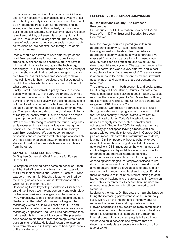In many instances, full identification of an individual or user is not necessary to gain access to a system or service. The key security issue is not "who am I" but "can I do it?" Biometric traits, such as fingerprints and iris scans, are often used in this context, for instance in building access systems. Such systems have a rejection rate of around 2%, but even this is too high for a high volume use such as at a large airport. There is also the issue of inclusion: ensuring certain social groups, such as the disabled, are not excluded through use of biometric techniques.

People should be allowed to have different personas, Lord Erroll argued: one for your work, one for your sports club, one for online shopping, etc. We have to think what things are for and adapt the technology accordingly. Thus, ID smartcards could have a variety of uses: to show a criminal record on a passport; to show creditworthiness for financial transactions; to show medical history for health services, etc. But we need to be able to control who has access to such data and for what purposes.

Finally, Lord Erroll contrasted policy-makers' preoccupation with identity with the very low priority given to ecrime. Yet the latter is much more of a problem in everyday life. E-crime is a relatively low policing priority and is not monitored or reported on effectively. As a result we still lack data on the real cost for society or for individuals. The law is also outdated, in the UK at least, in terms of liability for identity fraud. E-crime needs to be much higher up the political agenda, Lord Erroll believed. "We are currently trying to control too much using rules and processes, instead we should govern using the principles upon which we want to build our society" Lord Erroll concluded. We cannot control modern economies and corporations with this type of approach. We need a better balance between the citizen and the state and must not let one side take over completely from the other.

#### **KEYNOTE SPEECHES: RESPONSE**

Sir Stephen Gomersall, Chief Executive for Europe, Hitachi Ltd.

Sir Stephen welcomed participants on behalf of Hitachi and thanked Minister Kurzydlowski and Ambassador Mizuki for their contributions. Central & Eastern Europe was very important for Hitachi, a factor underlined by the setting up of a new business development office which will open later this year.

Responding to the keynote presentations, Sir Stephen said Hitachi was a technology company and technology had received serious challenges from the speakers. Prof. Muraszkiewicz had characterised technology as a "barbarian at the gate". Mr. Davies had argued that technology without culture will bear no fruit. He had asked us to consider whether the debate is really about technology or politics? And Lord Erroll had offered fascinating insights from the political scene. The presentations served to emphasize that technology without compassion is full of risks. He looked forward to interventions from elsewhere in Europe and to hearing the views of the private sector.

#### **PERSPECTIVE I: EUROPEAN COMMISSION**

#### **ICT for Trust and Security: The European Perspective**

Dr. Jacques Bus, DG Information Society and Media, Head of Unit, ICT for Trust and Security, European Commission

New technology requires a paradigm shift in our approach to security, Dr. Bus maintained. Drawing an analogy, he described the historical approach to security as being a 'walled fortress': we operated from a physical location with closed doors; security was seen as protection; and we set out to defend our data and systems. The approach required in today's networked world is very different, and is best characterised as an 'open metropolis'. The environment is open, unbounded and interconnected; we view trust as an enabler; and we aim to share our content and resources.

The stakes are high, in both economic and social terms, Dr. Bus argued. For instance, Reuters estimates that viruses cost businesses \$55bn in 2003, roughly twice as much as the previous year. As Mr. Davies had outlined, the likely cost of rolling out the UK ID card scheme will range from £10.6bn to £19.2bn.

The European Commission addresses these issues through a wide-ranging programme of research in ICT for trust and security. One focus area is resilient ICTbased infrastructures. Today's infrastructures and utilities are highly interconnected, complex and vulnerable. In September 2003, for instance, the Italian electricity grid collapsed leaving almost 50 million people without electricity for one day. In October 2004 part of France Telecom's IT infrastructure went down, leaving 15 million people without telephone for two days. EU research is looking at how to build dependable, resilient ICT infrastructures; how to manage and control large-scale dependable systems; and how to understand and manage interdependencies. A second area for research is trust, focusing on privacyenhancing technologies that empower citizens to use data in their own way. In a third area, biometrics, work

aims to ensure lifelong secure access to data and services without compromising trust and privacy. Fourthly, there is the issue of trust in the internet, aiming to combat computer hacking and ensure security in 'always on' and mobile environments. Research here includes work on security architectures, intelligent networks, and forensics.

Looking to the future, Dr. Bus saw the main challenge as being the increasing pervasiveness of ICT in our daily lives. We rely on the internet and other networks for more and more services and day-to-day activities. Networks themselves are becoming more complex and interconnected, and intertwined with critical infrastructures. Plus, ubiquitous sensors and RFID mean the internet does not just connect people but also things. We have to build networks and systems that are dependable, reliable and secure enough for us to trust such a world.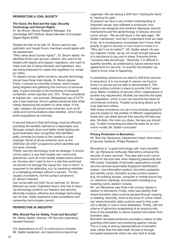#### **PERSPECTIVE II: CIVIL SOCIETY**

#### **The Good, the Bad and the Ugly: Security Technology and Human Rights**

Dr. Ian Brown, Senior Research Manager, the Cambridge-MIT Institute, Board Member of European Digital Rights (EDRi)

Despite the title of his talk, Dr. Brown said he was optimistic and hoped Forum members would agree with his assessment.

"Who cares about human rights?", Dr. Brown asked. He identified three main groups: citizens, who want to be treated with dignity and respect; regulators, who want to make sure law is being followed; and legislators, who are being pressured to create new legislation by unhappy voters.

To respect human rights concerns, security technology should have three main facets, Dr. Brown argued. Firstly, it should be minimally invasive, which means being targeted and gathering the minimum of personal data. A good example is the monitoring of transport containers, where typically only 10% - those considered at highest risk – are scanned. Widespread use of CCTV was a bad example, since it gathers personal data while merely displacing the problem to other areas. In the 'ugly' category are government schemes, such as ID cards and communications data retention, which treat entire populations as criminals.

A second feature is that technology must be effective, providing the benefits claimed at a reasonable cost. Stronger cockpit doors and better street lighting are good examples; face recognition that identifies petty criminals but leads to few arrests is a bad example. Worst of all are schemes such as the US\$15bn US-VISIT programme which identifies just low-level criminals.

Thirdly, security technology must be strategic. It should not be used in a way that creates new community grievances, such as more racially biased police searches. Humans don't want to live in a risk-free world and we should not damage the values the "war on terror" is supposed to be defending, e.g. by censoring websites or undertaking wiretaps without a warrant. "Fix the causes of problems, not the surface symptoms", Dr. Brown implored.

Can we be safe and free? As an optimist, Dr. Brown believed we could. Engineers have a vital role in ensuring technology protects our freedom and security. Minimally-invasive, effective and strategic technology can do that. Vastly expensive mass surveillance and censorship technologies cannot.

#### **PERSPECTIVE III: INDUSTRY**

**Who Should Pay for Safety, Trust and Security?** Mr. Martin Sadler, Director, HP Security Laboratory, Hewlett Packard

Our dependence on ICT is continuing to increase, Mr. Sadler explained, and cybercrime is becoming organised. We are seeing a shift from 'hacking for fame' to 'hacking for gain'.

At present we have a very limited understanding of important issues: how software is produced; how systems are designed and solutions deployed; security mechanisms and the epidemiology of attacks; and economic drivers. "We are still stuck in the dark ages", Mr. Sadler maintained, "and don't understand what we need to do. As a consequence, businesses don't know what priority to give to security or how much to invest in it." "Why don't we do better?", Mr. Sadler asked. He saw two reasons. Firstly, we do not invest enough because of a reluctance to pay and to share. Everyone thinks "someone else should pay". Secondly, it is difficult to quantify benefits, as evidenced by typical service-level agreements for security. To quantify the situation we need to know what is happening.

In preventing cybercrime we need to shift from security to assurance. It is not enough to secure: we have to know it is secure and be able to demonstrate it. This means putting controls in place to provide 24x7 assurance. Better modelling of security within organisations is another key requirement. Models can become the basis for negotiation, which in turn can become the basis for commercial contracts. Trusted computing allows us to trust data from others.

With these innovations we can move towards paying for security based on risk profiles of different organisations: those who can attest (prove) their security the best pay less. Similarly, the more you share, the less you should pay. Trusted computing provides the basis for an economic model, Mr. Sadler concluded.

#### **Privacy Protection in Biometrics**

Mr. Bart Van Rijnsoever, Department Head, Information & Security Systems, Philips Research

Biometrics is "a great technology with many benefits", Mr. van Rijnsoever enthused. Biometrics enhance the security of many services. They also add much convenience for the end-user when replacing passwords and PIN-codes. Examples of biometric applications include security services (automated fingerprint identification system, visa information system), biometric passports and identity cards, biometric access control systems (e.g. for building access, computer or mobile phone logon, electronic banking), and biometric ticketing (e.g. boarding cards, stadium tickets).

Mr. van Rijnsoever saw three main privacy issues in relation to biometrics. Firstly, there was identity theft where biometric data could be abused through copying or stealing. Secondly, there is the issue of 'cross-matching' where biometric data could be used to find a person's identity in one or more databases. Thirdly, with the science of genomics progressing at an amazing rate, there is the possibility to derive medical information from biometric data.

Biometric template protection provides a means of safeguarding information and protecting against misuse. This is a way of storing representations of biometric data, rather than the data itself. Access is through encrypted passwords which are very hard to break.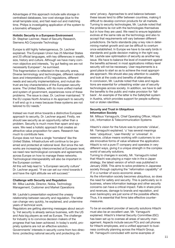Advantages of this approach include safe storage in centralised databases, low-cost storage (due to the small template size), and fast read-out and matching time. Philips is investigating application of the system to a biometric ePassport.

**Holistic Security in a European Environment** Dr. Stephan Lechner, Head of Security Research, Siemens AG Corporate Technology

Europe is still highly heterogeneous, Dr. Lechner explained. The European Union has 25 Member States and 20 official languages, with key differences in wealth, size, history and culture. Although we have many common objective and interests, "by gut feeling we are not necessarily European", he surmised.

This fragmentation is reflected in the security arena. Diverse terminology and technologies, different national laws and interpretations of EU regulations, different needs and security implementations, and mutual distrust are key characteristics of the European security scene. The United States, with its more unified market and system of government, experiences none of these problems. The issue is clear, Dr. Lechner maintained: "If the EU copies North America in its approach to security it will end up in a mess because these systems are not tailored to EU needs."

Instead we must strive towards a distinctive European approach to security, Dr. Lechner argued. Firstly, we should see security as an opportunity rather than a problem. Security is much more than spam and spyware. We need a holistic approach that creates an attractive value proposition for users. Research has much to contribute here.

Europe does not have a single 'homeland' like the United States. Infrastructure will continue to be governed and protected at national level. But since the networks are increasingly interconnected at European level, we need new technological concepts and agreements across Europe on how to manage these networks. Technological interoperability will also be important in the European context.

All this will help lead to "a European security culture" Dr. Lechner argued. "If we can set our mind towards it and have the right attitude we will succeed."

#### **Challenge with Security and Regulation**

Mr. Mika Lauhde, Director, Nokia, Technology Management, Customer and Market Operations

Mr. Lauhde's presentation explored the uneasy relationship between security and regulation. The latter can change very quickly, he explained, and undermine years of technical work.

Regulators are getting alarming messages about security. Yet security is already serious business, with the US and Asia big players as well as Europe. The challenge for Industry is to convince decision makers of the progress that has been achieved. In today's world, propriety systems are not an effective solution. Governments' interests in security come from two directions: protecting national security and protecting citizens' privacy. Approaches to and balance between these issues tend to differ between countries, making it difficult to develop common products for all markets. Turning to security technologies, Mr. Lauhde noted that the problems lie not with the technologies themselves but in how they are used. We need to ensure legislation evolves at the same rate as the technology and also to accept that requirements will vary between different jurisdictions. De facto standards play a key role in determining market growth and can be difficult to overturn once established. In Europe we have to be early birds in standards and guide decision making in the right way. Mr. Lauhde saw optimisation of security as another key issue. We have to balance the level of investment against the benefits achieved: in most applications military-level security will not be necessary. User requirements is a good place to start so as to achieve the most appropriate approach. We should also pay attention to usability and look at the costs and benefits of alternatives. In conclusion, Mr. Lauhde noted that rules and regulations are essential for unleashing wider use of security technologies across society. In addition, we have to sell the benefits to the public and make provision for 'fallback'. An example of the latter is the SafetyNet system in Austria, which provides support for people suffering lost or stolen identities.

#### **Security and Trust in Ubiquitous Information Society**

Mr. Mitsuo Yamaguchi, Chief Operating Officer, Hitachi Ltd., Information & Telecommunication Systems

Hitachi's vision for the future was to promote 'uValue', Mr. Yamaguchi explained. 'u' has several meanings here: 'ubiquitous', 'user-friendly' or 'universal'. In essence, uValue means working with customers to create innovative forms of value whatever the application. Hitachi is not a pure IT company and operates in very different ways, giving it a unique strength in the complex world of security solutions.

Turning to changes in society, Mr. Yamaguchi noted that Hitachi was playing a major role in the e-Japan strategy, the latest version of which was published in January 2006. This aims to solve problems in Japanese society through capturing the "reformation capability" of IT in a number of socio-economic areas.

As the information society becomes ubiquitous, so does the need for safety and security. This is particularly so in business, where information leakage and other security concerns can have a critical impact. Falls in share price and revenues, damage to brands and reputation, and even bankruptcy are just some of the possible effects. Thus, it is essential that firms take effective countermeasures.

To be an excellent provider of security solutions Hitachi must also be an excellent user, Mr. Yamaguchi explained. Hitachi's Internal Security Committee (ISC) has been set up to oversee all areas of security management. Aspects include secure PCs and cell phones for Hitachi employees, and a unified approach to business continuity planning across the Hitachi Group. Mr. Yamaguchi concluded with some examples of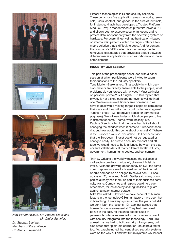

#### **INDUSTRY Q&A SESSION**

This part of the proceedings concluded with a panel session at which participants were invited to submit their questions to the industry speakers. Tony Morton-Blake asked: "In a society in which decision-makers are directly answerable to the people, what problems do you foresee with privacy? Must we insist on personal privacy? Is it a right?" Dr. Bus replied that privacy is not a fixed concept, nor even a well defined one. We live in an evolutionary environment and will have to deal with a moving target. People do care about their data and they will expect controls to guard against 'function creep' (e.g. to prevent abuse for commercial purposes). We will need rules which allow people to live in different spheres – home, work, holiday, etc. Daphne Steegh noted that the panel had talked about changing the mindset when it came to 'European' security, but how would this come about practically? "Where is the European value?", she asked. Dr. Lechner replied that the European mindset could not be regulated or changed easily. To create a security mindset and attitude we would need to build alliances between the players and stakeholders at many different levels: industry, government, human rights bodies, and consumers.

"In New Orleans the world witnessed the collapse of civil society due to a hurricane", observed Rolef de Weijs. "With the growing dependency on ICT, the same could happen in case of a breakdown of the internet. Should companies be obliged to have a non-ICT backup system?", he asked. Martin Sadler said many companies already had them, as part of their business continuity plans. Companies and regions could help each other more, for instance by sharing facilities to guard against a major internet outage.

Mike Parr asked: "How can we take account of human factors in the technology? Human factors have been key in breaching US military systems over the years but still we don't learn the lessons." Dr. Lechner agreed that human factors were essential. They had been weak points in the past, for instance people's use of passwords. Interfaces needed to be more transparent with security integrated into the technology. Lord Erroll agreed that we had to build security into systems, but also noted that "plain-old corruption" could be a factor too. Mr. Laudhe noted that centralised security systems were on the way out and that future systems would deal







*New Forum Fellows: Mr. Antoine Ripoll and Mr. Didier Gambier, Dr. Stephan Lechner, Members of the audience, Dr. Jean F. Freymond*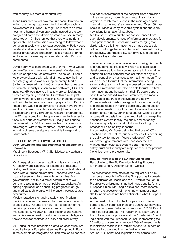with security in a more distributed way.

Janne Uusilehto asked how the European Commission will ensure the right approach for information society development in Europe. By 'right' he meant "an awareness- and human-driven approach, instead of the technology and corporate-driven approach we see in many areas today." Dr. Bus replied that there was no right approach. The Commission was trying to follow what is going on in society and to react accordingly. Policy goes hand-in-hand with research, for instance in the area of critical infrastructure protection. "It is a matter of bringing together diverse requests and demands", Dr. Bus commented.

David Sporn was concerned with e-crime. "What would be the effect on crime over the internet of widespread take-up of open source software?", he asked. "Should we provide citizens with a kind of 'how to use the internet safely' guide?" was his supplementary. Martin Sadler commented that the Commission had done a lot to promote security in open source software (OSS). For instance, HP was involved in a new project looking at trusted computing based on OSS within a multi-platform environment. This diversity is not there today but it will be in the future so we have to prepare for it. Dr. Bus noted there was a high correlation between cybercrime and the uniformity in today's systems (dominance of Microsoft and Intel). Through its research programmes, the EC was promoting interoperable, standardised solutions in all sorts of environments. Finally, Mr. Laudhe commented that OSS approaches had major security advantages: with more resources – 'pairs of eyes' – to look at problems developers were able to respond to issues faster.

#### **PERSPECTIVE IV: ICT SYSTEM USERS User' Viewpoints and Expectations: Healthcare as a Showcase**

Mr. Vincent Bousquet, VP & GM, Medasys, Healthcare **Operations** 

Mr. Bousquet considered health an ideal showcase for ICT security applications, for a number of reasons. Firstly, health is an important concern for individuals and deals with our most private data – aspects which we may not even wish to share with our families. For governments, health is a major determinant of wellbeing and also a major area of public expenditure. An ageing population and continuing progress in drugs and medical technologies will increase these pressures even further.

Medical practice is changing rapidly, too. Modern medicine requires cooperation between a vast network of specialists. Patients are now keen to be part of the decision process and there are trends towards managed care. Meanwhile, local, regional and national authorities are in need of real time business intelligence tools to monitor healthcare quality and productivity.

Mr. Bousquet then presented a detailed case study provided by Hopital Européen Georges Pompidou in Paris. In the example an integrated solution tracked all aspects of a patient's treatment at the hospital, from admission in the emergency room, through examination by a physician, to lab tests, x-rays in the radiology department, discharge and after-care follow-up. Over 100 hospitals in France already have this system and there are now plans for a national database. Mr. Bousquet saw a number of consequences from such developments. A mass of information is created for each patient and ICT, combined with emerging stan-

dards, allows this information to be made accessible online. This brings benefits in terms of increased quality, productivity, and traceability. But privacy and accountability are key challenges.

The various user groups have widely differing viewpoints and requirements. Patients will wish to ensure such developments allow them online access to information contained in their personal medical folder at anytime and to control who has access to that information. They will also need to trust that the information is being stored safely and is not being accessed by unauthorised parties. Professionals need to be able to trust medical information about the patient – their life could depend on it. In a paperless/filmless environment, this means having absolute trust in the system availability. Professionals will wish to safeguard their accountability and independence in making decisions, and to accept that the information might be used to assess their own performance. Finally, administrations will wish to gather on a real-time basis information required to manage the healthcare system locally, regionally and nationally. Increasing quality and productivity and tracking malpractice will also be key concerns. In conclusion, Mr. Bousquet noted that use of ICT in healthcare is not mature, but nevertheless it is becoming the daily tool for modern "care production". ICT will provide governments with necessary tools to manage their healthcare system better. However, safety, trust and security are major concerns for patients (i.e. citizens) and professionals.

#### **How to Interact with the EU Institutions and Participate to the EU Decision Making Process** Mr. Pierre Longin, Director, Longin Conseil

The presentation was made at the request of Forum members, through the Working Group, so as to broaden the discussion of Hitachi and the EU within the Forum. Progressive enlargement has had huge benefits for the European Union, Mr. Longin explained, most recently through the accession of the ten new member states. "Its founders could not have anticipated what Europe is today".

At the heart of the EU is the European Commission comprising 25 commissioners and 22000 civil servants, and the European Parliament comprising 732 MEPs split into 8 political groups. The Parliament is a key part of the EU's legislative process and has 'co-decision' on EU legislation with the European Council, representing the 25 national governments. Around 50% of amendments to legislation made in the Parliament and its 20 committees are incorporated into the final legal text. Around 70% of national legislation now comes from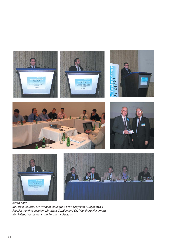

*left to right Mr. Mika Lauhde, Mr. Vincent Bousquet, Prof. Krzysztof Kurzydlowski, Parallel working session, Mr. Mark Cantley and Dr. Michiharu Nakamura, Mr. Mitsuo Yamaguchi, the Forum moderaotrs*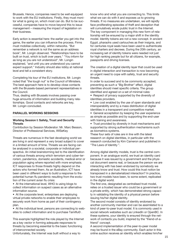Brussels. Hence, companies need to be well equipped to work with the EU institutions. Firstly, they must monitor what is going on, which most can do. But to be successful, companies have to move beyond this to issue management – measuring the impact of legislation on their business.

Early action is essential here: the earlier you get into the game, the earlier you can influence the process. Firms must mobilise collectively, within networks. "But remember a network is not the same as an address book", Mr. Longin observed. "Relationships have to be built on trust, which is built over years." "You inform for as long as you are not understood", Mr. Longin explained, "and until you are understood you cannot expect support." Industry should also lobby at national level and tell a consistent story.

Completing his tour of the EU institutions, Mr. Longin noted that "the tough nut" is the Council of Ministers. The best approach here is to develop close contacts with the Brussels-based permanent representatives in the Council.

Thus, dealing with Brussels involves passing over huge amounts of information and building many relationships. Good contacts and networks are key, Mr. Longin concluded.

#### **PARALLEL WORKING SESSIONS**

#### **Working Session I: Safety, Trust and Security Threats**

Contribution by Session Moderator: Mr. Marc Besson, Director of Professional Services, WISeKey

Threats are numerous in the fast developing world we are living in and represent a very broad subject to cover in a limited amount of time. Threats we are facing can be analysed in a societal, corporate or individual perspective. An initial brainstorming led to the identification of various threats among which terrorism and cyber-terrorism, pandemics, domestic accidents, medical error or population aging where reported with more emphasis. ICT responses to those threats highly depend on the actors who formed them. As an illustration, ICT have been used in different ways to build a response to the potential human flu pandemic resulting from the evolution of the current avian flu crisis:

• At the international level, WHO is using blogs to collect information on suspect cases as an alternative information source.

• At the corporate level, enterprises are deploying virtual private networks to enable their employees to securely work from home as part of their contingency plan.

• At the individual level, persons are connecting to websites to collect information and to purchase Tamiflu© .

This example highlighted the role played by the Internet as a key vector in forming adequate responses to threats by becoming essential to the basic functioning of interconnected society.

Unfortunately, the Internet was built without a way to

know who and what you are connecting to. This limits what we can do with it and exposes us to growing threats. If no measures are undertaken, we will rapidly face proliferating episodes of theft and deception that will cumulatively erode public trust in the Internet. The key component in managing this new form of relationship will be ensured by a major shift in the identity model. Identity tokens are not a new concept. In ancient Egypt, pharaohs used cartouches as their insignia, and for centuries royal seals have been used to authenticate royal charters and decrees. During the 20th century, an increasing set of identity tokens were needed not just for high ranking people but for all citizens, for example, passports and driving licenses.

The creation of a digital identity layer that could be used in digital interaction and transaction is now becoming an urgent need to cope with safety, trust and security threats.

In order to succeed and to be commonly accepted, preventing as such a "Big Brother" effect, digital identities should meet specific criteria. The group identified and agreed on a set of minimal rules:

• Respect of privacy supported by the diversity of identities providers.

• Low cost enabled by the use of open standards and interoperability and by a mass distribution of digital identities in a transparent and competitive market.

• General acceptation by keeping the user experience as simple as possible and by supporting the end-user with training and awareness.

• Trust provided by diversity in trust mechanisms and supported by strong authentication mechanisms such as biometrics systems.

These four sets of rules are in line with the latest research on digital identities, in particular with the research conducted by Kim Cameron and published in "The Laws of Identity ".

Among digital identity models, trust is the central component. In an analogue world, we trust an identity card because it was issued by a government and the physical document seems real, or because the person we are interacting with has been endorsed by somebody we already know and trust. How could this trust notion be transposed in a dematerialized interaction? In practice, two trust models have been, to some extent, replicated in the digital world.

The first one, designated as centralised trust model, relies on a trusted issuer who could be a government or a private entity, which has demonstrated strong capacity in validating the identity of a physical person before issuing his/her digital identity.

The second model consists of identity endorsed by another community member and can be assimilated to a kind of peer-to-peer trust model. It is commonly used in social network websites such as LinkedIn or OpenBC. In these systems, your identity is ensured through the network of contacts you build, inspired by the "friend-of-afriend" concept.

A second implementation of the peer-to-peer model may be found in the eBay community. Each actor in this online auction receives an identity which enables him/her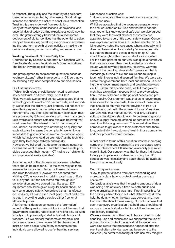to transact. The quality and the reliability of a seller are based on ratings granted by other users. Good ratings increase the chance of a seller to conclude a transaction. Trust in this case is derived from reputation. Many of the dangers, complications, annoyances, and uncertainties of today's online experiences could now be over. The group strongly believed that a widespread deployment of digital identities has the potential to solve many of these issues, benefiting everyone and accelerating the long-term growth of connectivity by making the online world safer, more trustworthy, and easier to use.

#### **Working Session II: Citizens Daily Life**

Contribution by Session Moderator: Mr. Stephen White, Directorate Manager, Publications & Communications, The British Psychological Society

The group agreed to consider the questions posed as 'ordinary citizens' rather than experts in ICT, so that we could bring a lay, user perspective to our discussions

#### Our first question was:

" Which technology should be promoted to enhance safety and trust in citizens' daily use of ICT?" First, we made two general points: we accepted that no technology could ever be 100 per cent safe; and secondly, we felt that the ordinary user probably did not care or even think very much about safety and trust issues. Furthermore, they often ignored the advice on such matters provided by ISPs and retailers who have many products available to ensure safe use. We also believed that most users had little interest in 'which technology' to use. Indeed, as technology is advancing so quickly and each advance increases the complexity, we felt it was impossible to give a direct answer to the question about 'which technology should be promoted' as the technology is likely to change radically and rapidly. However, we believed that despite the many negatives citizens did want to use ICT and that some simple principles described their needs – ICT had to be 'reliable, fit for purpose and easily available'.

Another aspect of the discussion concerned whether there should be rules for ICT in the same way as there are rules for cars – i.e. rules for both manufacturers and rules for drivers? However, we accepted that 'driving ICT', as opposed to 'driving a car' was unlikely to kill anyone. But the car theme ran through our consideration and we agreed that, like a car, ICT equipment should be given a regular health check, or service to ensure safety. We believed that manufacturers, retailers, ISPs and even local government had a role to play in providing such a service either free, or at affordable prices.

A further consideration concerned the 'promotion' aspect of the question. We quickly formed the view that government probably had little or no role to play as such activity could potentially curtail individual choice and freedom. But we did feel that some commercial concerns may have a role – i.e. we felt that banks could insist on some basic rules/safety measures before individuals were allowed to use 'e' banking services.

Our second question was:

" How to educate citizens on best practice regarding safety and use?"

Whilst we accepted that the younger generation were the best educated on ICT use and therefore had the most (potential) knowledge of safe use, we also agreed that they were the worst abusers of systems and appeared to care very little about safety issues. Concern was expressed about how ICT use had enabled 'e' bullying and we noted the rare cases where, allegedly, children had been driven to suicide by 'e' messages. We felt that the moral and ethical dimension of ICT use should be taught within the formal education system. For the older generation our view was quite different. As their use was lower, then their knowledge of safety issues would inevitably be lower. However, we were aware of the growing 'silver surfer' generation that is increasingly turning to ICT for leisure and to keep in touch with increasingly dispersed families. We were also aware that government, both local and national, is pushing the 'e' government agenda and providing services via ICT. Given this specific push, we felt that government had a significant responsibility to provide education – this must be free at the point of access and provided locally. Our argument was that as 'e' government is supposed to reduce costs, then some of these savings should be returned via the provision of free ICT education to help with the uptake of those 'e' services. Our view was that manufacturers, retailers, ISPs and software developers should want to be seen to sponsor or even supply these educational opportunities in partnership with local government. This would allow these companies to get closer to their customers and, therefore, potentially the customers' trust in those companies and their products would increase.

A final point in terms of this question was the increasing number of immigrants coming into the developed world from countries where ICT use and availability was much more limited. Our concern was that for these individuals to fully participate in a modern democracy then ICT education was necessary and again should be available free of charge and locally.

#### Our third question was:

"How to protect citizens from data mishandling and more particularly how to protect weaker users e.g. children?"

Our basic analysis was that increasing amounts of data was being held on every citizen by both public and private organisations. It was hard, if not impossible, for the ordinary citizen to find out what data was held; who held the data; whether the data was correct; and, how to correct the data if it was wrong. Our solution was that each year every organisation that held data should send a copy to the individual so that it could be checked and if necessary corrected.

We were aware that within the EU laws existed on data handling, use and misuse and we supported the use of prosecutions to protect the individual. However, we were also aware that prosecutions happened after the event and often after damage had been done to the individual, so better monitoring of data use may mitigate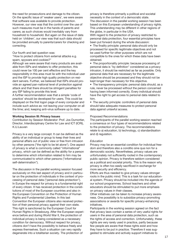the need for prosecutions and damage to the citizen. On the specific issue of 'weaker users', we were aware that software was available to provide protection. However, our view was that the control over the use of such measures must be in the hands of parents and carers; as such choices would inevitably vary from household to household. But again on the issue of data held on 'children', our view was that such data should be provided annually to parents/carers for checking and correcting.

Our fourth and last question was:

"How to protect citizens from external attacks e.g. spam, spyware and cookies?"

Although we were aware that many products are available from ISPs and retailers to offer protection, this could never be 100 per cent effective and the key responsibility in this area must lie with the individual user and the ISP to provide high quality protection on resident servers. Further, we believed that ISPs should provide an agreed pan-national level of protection against attack and that there should be stringent penalties for any ISP failing to provide this level.

A further recommendation was that a simple 'code of practice' should be developed for users. This could be displayed on the first logon page of every computer and include such advice as: not leaving your computer on all the time; and, keeping anti-virus software up to date.

#### **Working Session III: Privacy Issues**

Contribution by Session Moderator: Prof. Jos Dumortier, Director, Interdisciplinary Centre for Law and ICT (ICRI), K.U.Leuven

Privacy is a very large concept. It can be defined as the ability of an individual or group to keep their lives and personal affairs out of public view or free from intrusion by other persons ("the right to be let alone"). One aspect of privacy is what is commonly called "informational" privacy, which can be defined as the ability for a person to determine which information related to him may be communicated to which other persons ("informational self-determination").

The discussion in the parallel working session focused exclusively on this last aspect of privacy and in particular on the protection of individuals in the context of processing of personal data ("personal data protection"). In Europe the respect for privacy is a fundamental right of every citizen. It has received protection in the constitutions of most of the European countries and also in the European Convention on the Protection of Human Rights and Fundamental Liberties. In this last Convention the European citizens also received protection of their personal privacy against their own state. This right is sanctioned by the European Court for Human Rights in Strasbourg. After the European experience before and during World War II, the protection of individual privacy is being considered as a necessary condition for democracy. Without respect for privacy, citizens don't have the possibility to behave freely and express themselves. Such a situation can very rapidly degenerate into a totalitarian society. The protection of

privacy is therefore primarily a political and societal necessity in the context of a democratic state. The discussion in the parallel working session has been based on this European understanding of privacy rights. This understanding may be different in other regions of the globe, in particular in the USA.

With regard to the protection of privacy restricted to personal data protection, four essential principles have been put forward during the whole discussion:

• The finality principle: personal data should only be processed for specific legitimate objectives and not be used further for other purposes which are not compatible to the ones for which these data have been obtained.

• The proportionality principle: because processing of personal data is "by definition" considered as a privacy intrusion, it should be restricted as far as possible. Only personal data that are necessary for the legitimate objective should be processed and they should not be kept longer than necessary for this objective.

• The transparency principle: personal data should, as a rule, never be processed without the person concerned having been informed correctly. Every individual should have the right to get access to personal data related to him.

• The security principle: controllers of personal data should take adequate measures to protect personal data against unlawful access.

#### Proposed Recommendations

The participants of the parallel working session reached a consensus on four types of recommendations related to the protection of privacy. The recommendations relate to a) education, b) technology, c) standardisation and d) regulation.

#### *Education*

Privacy may be an essential condition for individual freedom and therefore also a conditio sine qua non for a democratic society. Nevertheless, privacy values are unfortunately not sufficiently rooted in the contemporary public opinion. Privacy is therefore seldom considered as a political and societal priority. This is the reason why privacy is often too easily sacrificed in exchange for more security and efficiency.

Efforts are thus needed to give privacy values stronger roots in the public mind. This is a task for our educational system. Privacy should be included into the agenda of our school programmes. School teachers and other educators should be stimulated to put more emphasis on privacy values in their classes.

Other initiatives can be taken to increase privacy awareness. One possibility is to subsidize privacy-promoting associations or awards for specific privacy-enhancing initiatives.

Participants in the working session agreed on the fact that privacy laws contain a series of very useful rights for users in the area of personal data protection, such as the rights of access and correction. Unfortunately, these rights are very rarely used in practice, partly because few people are aware that these rights exist and how they have to be put in practice. Therefore it was suggested to stimulate and actively support initiatives to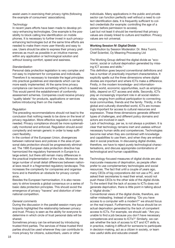assist users in exercising their privacy rights (following the example of consumers' associations).

#### *Technology*

In recent years efforts have been made to develop privacy-enhancing technologies. One example is the possibility to block calling line identification on mobile phones. It is necessary to further invest in such privacyenhancing technologies but at the same time efforts are needed to make them more user-friendly and easy to use. Users should be able to express their privacy preferences as much as possible in an intuitive manner, within any application or technological solution and without loosing comfort, speed and easiness.

#### *Standardization*

Personal data protection legislation is very complex and not easy to implement for companies and individuals. Therefore it is necessary to translate the legal principles into practical guidelines and standards which can be more easily implemented. At the same time privacy compliance can become something which is auditable. This would permit the establishment of conformity assessment schemes. Companies could receive privacy "quality labels" for products, applications or services before introducing them on the market.

#### *Regulation*

The preceding recommendations should not lead to the conclusion that nothing needs to be done on the level of privacy regulation. More effective regulation is certainly needed. Privacy compliance should be more systematically monitored and enforced. Regulation should avoid complexity and remain generic in order to keep sufficient flexibility.

In the context of the European Union, divergences between national laws and policies in the area of personal data protection should be progressively eliminated. The 1995 European data protection directive has harmonized the regulatory framework in Europe to a large extent, but there still remain many differences in the practical implementation of the rules. Moreover, the large number of small detail differences between national laws result in a fragmented regulatory landscape. This increases the complexity for companies and organisations and is therefore an obstacle for privacy compliance.

Besides the European harmonisation, it is also necessary to strive towards a global consensus on a series of basic data protection principles. This should avoid the emergence of privacy "havens" and distortion of international competition.

#### *General comments*

During the discussion in the parallel session many participants highlighted the relationship between privacy and trust. Privacy is seen as the ability for everyone to determine in which circle of trust personal data will be shared.

Sometimes privacy can be enhanced by introducing trusted third parties. The services of these trusted third parties should be used wherever they can contribute to more privacy for citizens, subscribers, users or other

individuals. Many applications in the public and private sector can function perfectly well without a need to collect identification data. It is frequently sufficient to collect credentials (for example: controlling the age of a person before permission to access).

Last but not least it should be mentioned that privacy values are closely linked to culture and tradition. Privacy values are not universal.

#### **Working Session IV: Digital Divide**

Contribution by Session Moderator: Dr. Ilkka Tuomi, Chief Scientist, Oy Meaning Processing Ltd

The Working Group defined the digital divide as "economic, social or cultural deprivation generated by missing ICT access and skills."

This definition goes beyond conventional definitions and has a number of practically important characteristics. It explicitly spells out the three dimensions where digital divides are important and where ICTs make a difference. Firstly, in the modern knowledge- and informationbased world, economic opportunities, such as employability, depend on ICT access and skills. Secondly, ICTs play an increasingly important role in all social relationships, ranging from political participation to connecting local communities, friends and the family. Thirdly, in the global and culturally diversified world, ICTs are increasingly important for access to cultural resources and expression. These three dimensions generate different types of challenges, and different policy domains and actors are involved in each.

Lack of technology, per se, is not always a problem. It is clear that technology remains inert and useless without necessary human skills and competences. Technologies become real when they are combined with knowledge and capabilities to use them, and when they are embedded in social practices. In discussing digital divides, therefore, we have to reject purely technological characterisations, and discuss appropriate combinations of technological and human capabilities.

Technology-focused measures of digital divide are also inaccurate measures of deprivation, as people often prefer to use complementary technologies and social resources. The fact that until a couple of years ago, many CEOs of big corporations did not use a PC, and asked their secretaries to read their email, would not push these CEOs to the other side of the digital divide. To the extent that the lack of access to ICTs does not generate deprivation, there is little point in talking about a "digital divide."

Conventional views of the digital divide, therefore, are rather misleading. Instead of asking: "Do you have access to a computer with a modem?" we should focus on the real impact. Furthermore, the focus should be on actual deprivation generated by the lack of competent access to ICTs. For example, we should ask: "Are you unable to find a job because you don't have necessary competences and access to ICTs?" Similarly, we can ask whether the lack of access to ICT and ICT skills is, in practice, making it difficult for someone to participate in decision-making, act as a citizen in society, or learn new useful skills and educate oneself.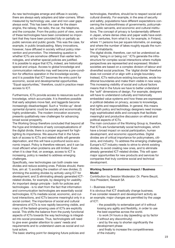As new technologies emerge and diffuse in society, there are always early adopters and later-comers. When measured by technology use, user and non-user gaps always exist. This has been the case for the steam engine, the railway, the radio, the car, the telephone, and the computer. From the policy point of view, some of these technologies have been considered so important that they have been provided fully or partially as public services and public goods. This was the case, for example, in public broadcasting. Many innovations, however, have diffused in society without policy intervention and promotion. The interesting question is whether ICTs are somehow different than earlier technologies, and whether special policies are justified. It is possible to argue that ICTs, indeed, are historically special and unique. Access to global knowledge and communication networks may well become a pre-condition for effective operation in the knowledge society, and it is possible that ICT becomes the entry point for economic, social and developmental opportunities. "Equal opportunities," therefore, could in practice mean access to ICT.

Furthermore, ICTs provide access to resources such as knowledge, which accumulate. It is therefore possible that early adopters move fast, and laggards become increasingly disadvantaged. Such a "trickle-up" developmental dynamic could be socially and economically highly problematic. The modern innovation economy presents qualitatively new challenges for advancing broad social prosperity.

The Working Group therefore concluded that beyond all the hype and limitations of early conceptualizations of the digital divide, there is a proper argument for highlighting its importance. We assume that in the future lack of access to ICTs and related skills will generate deprivation, and this will have a profound socio-economic impact. Policy is therefore relevant, and it can be most efficient when problems are still limited. Even when it is clear that, on average, access to ICT is increasing, policy is needed to address emerging challenges.

Specifically, new technologies can both create new divides and reduce existing ones. Policies should, therefore, aim at: 1) avoiding the creation of new divides; 2) shrinking the existing divides by actively using ICT for development; and 3) eliminating already generated ICTrelated divides, for example, by designing for usability. An important design principle - both for policies and technologies - is to start from the fact that information and communication technologies are essentially social technologies. ICTs mediate social, economic, and cultural interactions, and ICTs become meaningful only in a social context. The importance of social and cultural dimensions of ICTs is now rapidly becoming visible, and many of the fastest-growing uses of ICTs are explicitly social. This shifts the balance from the purely functional aspects of ICTs towards the way technology is integrated into social processes. Thus, technologists will need to give even greater attention to users' needs and requirements and to understand users as social and cultural actors.

The basic starting point for designing future policies and

technologies, therefore, should be to respect social and cultural diversity. For example, in the area of security and safety, populations have different expectations concerning the trustworthiness of governments, policymakers, public servants, and economic and cultural institutions. The concept of privacy is fundamentally different in Japan, where dense cities and paper walls have existed for centuries, from what it is, for example, in Finland, where 11 persons live per square kilometre, on average, and where the number of lakes roughly equals the number of inhabitants.

The digital divide, therefore, can not be understood as simply "being in or being out." ICTs generate the infrastructure for complex social interactions where multiple perspectives are represented and expressed. Modern societies are based on a complex division of labour and diversified social practices. The 'digital divide' therefore does not consist of or align with a single boundary. Instead, ICTs restructure existing boundaries, erode traditional boundaries and make them visible in new ways. This increasing visibility of social and cultural factors means that in the future we have to better understand the "soft" dimensions of design. For example, designers will have to understand culturally and historically embedded value systems and how these are expressed in political debates on privacy, access to knowledge, and rights and responsibilities. In general, this means that both policy and technology designers need increasingly sophisticated skills and concepts that facilitate meaningful and productive discussion on ethical and political aspects of ICTs.

The main conclusion of the Working Group is, therefore, that ICTs are fundamentally social technologies, which have a broad impact on social participation, human development, and economic opportunities. Digital divides are of critical importance for policymakers, citizens, and industry. To address the emerging challenges, Europe's ICT industry needs to strive to shrink existing divides, to avoid creating new ones, and to eliminate already generated ICT-related divides. This will open major opportunities for new products and services for companies that truly combine social and technical development.

#### **Working Session V: Business Impact / Business Model**

Contribution by Session Moderator: Dr. Pierre Beuzit, Vice President, Renault SA

#### I – Business impact

It is obvious that ICT drastically change business. If we consider research and development activity as an example; major changes are permitted by the usage of ICT:

- the possibility to externalize part of it without loosing any agility and flexibility, in order to use the best expertise across the world.

- to work 24 hours a day (speeding up by factor 3 without any discontinuity)

- and by the way to shorten significantly the development phase

- and finally to increase the competitiveness of the industry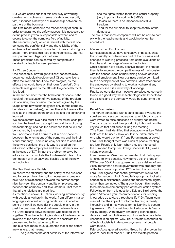But we are conscious that this new way of working creates new problems in terms of safety and security. In fact, it induces a new type of relationship between the partners of the business.

The first impact concerns the responsibility of each. In order to guarantee the safety aspects, it is necessary to define precisely who is responsible of what, and of course to cover the complete field of activity. The second impact, which is related with the first one, concerns the confidentiality and the reliability of the exchanged information. Some techniques exist to "guarantee" more or less this type of confidentiality, but that is important from legal point of view.

These problems can be solved by complete and detailed contracts between partners.

#### II – Citizen Concerns

One question is: how might citizens' concerns slow down technological deployment? Of course citizens often feel worried about new technologies, by the effects they could have on their own "comfort". One example was given by the attitude to genetically modified food.

In fact we consider that the behaviour of people is the result of the evaluation of two aspects of the problem. On one side, they consider the benefits given by the usage of the new technology (not only for the company but also for themselves); on the other side there are the risks as the impact on the private life and the constraints induced.

We consider that two rules must be followed: each person has the freedom to accept the conditions of using the technology; and has the assurance that he will not be tracked by the system.

We understand that it could result in discrepancies between the orientations of the company and the individual tendency. There is no easy solution to conciliate these two positions; the only way is based on the education of the employees and the customers involved in the usage of ICT. In fact the problem to solve by education is to conciliate the fundamental rules of the democracy with an easy and flexible use of the new technologies.

#### III – New Business Models

To assure the efficiency and the safety of the business and to protect the citizens, it is necessary to create a new type of relationship between the partner companies, between the company and its employees, and between the company and its customers. That means that all the relations are modified.

As mentioned above, ICT allows working simultaneously with people anywhere in the world, from different native languages, different working habits, etc. On another point of view, if we consider the supply chain, in the past the deal was bilateral between the levels N and N+1, that means between people who used to work together. Now the technologies allow all the levels to be involved at the same time in order to accelerate the process and to find a better optimum.

The business model must guarantee that all the actors are winners; that means:

- to guarantee the confidentiality of the information

and the rights related to the intellectual property (very important to work with SMEs')

- to assure there is no impact on individual freedom.
- and for the principal: to keep the control of the databases

The risk is that some companies will not be able to comply with the requirements and would no longer be accredited.

#### IV – Impact on Employment

Some aspects could have a negative impact, such as the possibility to outsource a part of the business and changes to working practices from some evolutions of the jobs and the usage of new technologies. Other aspects have clearly positive impact: the first of them is to improve the competitiveness of the industry, with the consequence of maintaining or even development of employment. New business can be permitted by the development of new activities. More freedom for the employees by allowing to work anywhere at any time (of course it is a new way of working).

Finally, we consider that if people are educated correctly to use in a good way these technologies the benefits for the citizens and the company would be superior to the risks.

#### **Panel Discussion**

The Forum concluded with a panel debate involving the speakers and session moderators, at which participants were invited to raise questions on all they had heard. The participants used the opportunity to home in on the key issues that had arisen during the meeting. "The Forum had identified that education was key. What tools are to be used? How would it be differentiated? And who would pay for it?" one Forum member asked. Lord Erroll thought there was a risk of people reacting too late. People only learn when they are interested – the European Computer Driving Licence (ECDL) was a valuable example.

Forum member Mike Parr commented that: "Who pays is linked to who benefits. How do you sell the idea of ICT to over 30s?" Local government, as a deliver of services, rather than central government was probably one of the best ways of pushing ICT out into the community. Lord Erroll agreed that central government would not move fast enough. Prof. Dumotier's group had looked at education in citizenship, values and fundamental rights, rather than technology. The group thought this needed to be made an elementary part of the education system. Following on from this question, Eckhard Kroll asked the panel: "What are your recommendations for keeping knowledge up to date throughout life?" Dr. Tuomi commented that the impact of informal learning is clearly increasing and in many areas formal learning is becoming irrelevant. Dr. Bus said much of education is 'learning-by-doing'. With privacy-enhancing technologies, devices must be intuitive enough to stimulate people to use them in an optimal way. Thus, the main contribution of technologists is in designing systems that people want to use.

Fabrice Axisa queried Working Group I's reliance on the peer-to-peer trust model. "Didn't this violate personal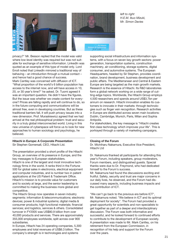

*left to right H.E.M. Ikuo Mizuki, Mr. Simon Davies*

privacy?" Mr. Besson replied that the model was valid where low-level identity was required but was not suitable for exchange of sensitive information. LinkedIn was quoted as an example of this type of model only. Lord Erroll noted that LinkedIn mirrored a traditional way of behaving – an introduction through a mutual contact – and hence had a good chance of success. Mark Cantley was concerned with diffusion of ICT. "What proportion of the world's 6 billion population has access to the internet now, and will have access in 10, 20, or 30 year's time?" he asked. Dr. Tuomi agreed it was an important question. He didn't have the figures. But the issue was whether we create content for everyone? Prices are falling rapidly and will continue to do, so in the future computing and communications will be almost free, even in developing countries. But as these traditional barriers fall, it will push privacy issues into a new dimension. Prof. Muraskiewicz agreed that we had arrived at the real philosophical problem: trust and security in a truly global interconnected world. Living in this new universe of cyberspace will force us to look for new approaches to human sociology and psychology, he believed.

#### **Hitachi in Europe: A Corporate Presentation** Sir Stephen Gomersall, CEO, Hitachi Ltd.

The presentation provided a short profile of the Hitachi Group, an overview of its presence in Europe, and the key messages to European stakeholders.

Hitachi is one of the largest and most innovative technology firms in the world. It ranks third in the Fortune 500 for global sales in electronics, electrical equipment and computer industries, and is number two in patent applications at the US Patent & Trademark Office. Hitachi's mission is to provide value for customers and to society at large, and the senior leadership is committed to making the business more global and competitive.

The Hitachi Group now operates in seven industry segments: information & telecommunications; electronic devices; power & industrial systems; digital media & consumer products; high functional materials; financial services; and logistics, services & others. Consolidated turnover in FY2005 was US\$80.9 billion from over 40,000 products and services. There are approximately 355,000 employees worldwide, split across over 900 subsidiaries.

In Europe, Hitachi has 24 operating companies, 5,300 employees and total revenues of US\$6.3 billion. The company's strength is in technologies and systems

supporting social infrastructure and information systems, with a focus on seven key growth sectors: power generation, transportation systems, construction machinery, air-conditioning, storage systems, digital consumer, and automotive systems. The European Headquarters, headed by Sir Stephen, provides coordination, brand development, business development and public affairs. The Mediterranean and Central & Eastern Europe are being targeted as the main growth markets. Research is the essence of Hitachi. Its R&D laboratories form a global network working on a wide range of cutting-edge topics. Worldwide, the Hitachi Group employs 4,500 researchers and spends around US\$3.7bn per annum on research. Hitachi innovation enables its customers to innovate in their markets: through technologies such as finger vein recognition. Research activities in Europe are distributed across seven main locations: Dublin, Cambridge, Munich, Paris, Milan and Sophia Antipolis.

For stakeholders, the key message is "Hitachi creates first class technology which improves your life". This is portrayed through a variety of marketing campaigns.

#### **Closing of the Forum**

Dr. Michiharu Nakamura, Executive Vice President, Hitachi Ltd

Dr. Nakamura thanked all participants for attending this year's Forum, including speakers, group moderators, Forum members, and distinguished guests. Special thanks were due to Dr. Freymond, who had dedicated himself to the Forum's success.

Mr. Nakamura had found the discussions exciting and fruitful. Safety, security and trust are major concerns in our daily lives, he observed, and the Forum had discussed many aspects, including business impacts and the contribution of ICT.

"We can't go back to the previous era before ICT", Mr. Nakamura noted. "We believe in ICT and its optimal deployment for society". The Forum had provided a great opportunity for scientists and non-specialists to get together as part of a deeper and interdisciplinary discussion. The Forum was both informative and successful, and he looked forward to continued efforts to contribute to the development of European society. A presentation was made to Mr. Mark Cantley, on his retirement from the European Commission, in recognition of his help and support for the Forum over the years.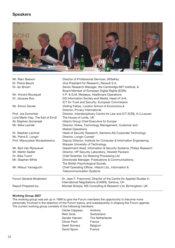### **Speakers**



| Mr. Marc Besson<br>Dr. Pierre Beuzit<br>Dr. Ian Brown | Director of Professional Services, WISeKey<br>Vice President for Research, Renault S.A.<br>Senior Research Manager, the Cambridge-MIT Institute, &<br>Board Member of European Digital Rights (EDRi) |
|-------------------------------------------------------|------------------------------------------------------------------------------------------------------------------------------------------------------------------------------------------------------|
| Mr. Vincent Bousquet                                  | V.P. & G.M. Medasys, Healthcare Operations                                                                                                                                                           |
| Dr. Jacques Bus                                       | DG Information Society and Media, Head of Unit,<br>ICT for Trust and Security, European Commission                                                                                                   |
| Mr. Simon Davies                                      | Visiting Fellow, London School of Economics &<br>Director, Privacy International                                                                                                                     |
| Prof. Jos Dumortier                                   | Director, Interdisciplinary Centre for Law and ICT (ICRI), K.U.Leuven                                                                                                                                |
| Lord Merlin Hay, The Earl of Erroll                   | The House of Lords, UK                                                                                                                                                                               |
| Sir Stephen Gomersall                                 | Hitachi Group Chief Executive for Europe                                                                                                                                                             |
| Mr. Mika Lauhde                                       | Director, Nokia, Technology Management, Customer and<br><b>Market Operations</b>                                                                                                                     |
| Dr. Stephan Lechner                                   | Head of Security Research, Siemens AG Corporate Technology                                                                                                                                           |
| Mr. Pierre E. Longin                                  | Director, Longin Conseil                                                                                                                                                                             |
| Prof. Mieczyslaw Muraszkiewicz                        | Deputy Director, Institute for Computer & Information Engineering,<br>Warsaw University of Technology                                                                                                |
| Mr. Bart Van Rijnsoever                               | Department Head, Information & Security Systems, Philips Research                                                                                                                                    |
| Mr. Martin Sadler                                     | Director, HP Security Laboratory, Hewlett Packard                                                                                                                                                    |
| Dr. Ilkka Tuomi                                       | Chief Scientist, Oy Meaning Processing Ltd                                                                                                                                                           |
| Mr. Stephen White                                     | Directorate Manager, Publications & Communications,                                                                                                                                                  |
|                                                       | The British Psychological Society                                                                                                                                                                    |
| Mr. Mitsuo Yamaguchi                                  | Chief Operating Officer, Hitachi Ltd., Information &<br><b>Telecommunication Systems</b>                                                                                                             |
| Forum General Moderator:                              | Dr. Jean F. Freymond, Director of the Centre for Applied Studies in<br>International Negotiations (CASIN), Geneva, CH                                                                                |
| Report Prepared by:                                   | Michael Sharpe, MS Consulting & Research Ltd, Birmingham, UK                                                                                                                                         |

#### **Working Group 2007**

The working group was set up in 1999 to give the Forum members the opportunity to become more personally involved in the selection of the Forum topics, and subsequently in shaping the Forum agenda. The current working group consists of the following members:

| Cécile Cappeau | Andorra         |
|----------------|-----------------|
| Reto Grob      | Switzerland     |
| Sander Hansen  | The Netherlands |
| Olivier Pech   | France          |
| Geert Somers   | Belgium         |
| David Sporn    | France          |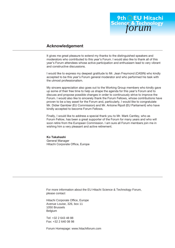

#### **Acknowledgement**

It gives me great pleasure to extend my thanks to the distinguished speakers and moderators who contributed to this year's Forum. I would also like to thank all of this year's Forum attendees whose active participation and enthusiasm lead to very vibrant and constructive discussions.

I would like to express my deepest gratitude to Mr. Jean Freymond (CASIN) who kindly accepted to be this year's Forum general moderator and who performed his task with the utmost professionalism.

My sincere appreciation also goes out to the Working Group members who kindly gave up some of their free time to help us shape the agenda for this year's Forum and to discuss and propose possible changes in order to continuously strive to improve the Forum. I would also like to sincerely thank the Forum Fellows, whose contributions have proven to be a key asset for the Forum and, particularly, I would like to congratulate Mr. Didier Gambier (EU Commission) and Mr. Antoine Ripoll (EU Parliament) who have kindly accepted to become Forum Fellows.

Finally, I would like to address a special thank you to Mr. Mark Cantley, who as Forum Fellow, has been a great supporter of the Forum for many years and who will soon retire from the European Commission. I am sure all Forum members join me in wishing him a very pleasant and active retirement.

**Ko Takahashi** General Manager Hitachi Corporate Office, Europe

For more information about the EU Hitachi Science & Technology Forum, please contact

Hitachi Corporate Office, Europe Avenue Louise, 326, box 11 1050 Brussels Belgium

Tel: +32 2 643 48 88 Fax: +32 2 640 08 98

Forum Homepage: www.hitachiforum.com